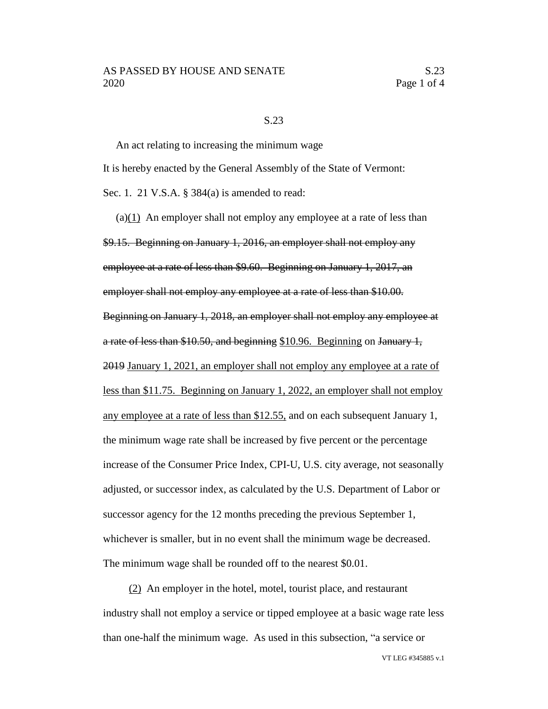## S.23

An act relating to increasing the minimum wage It is hereby enacted by the General Assembly of the State of Vermont: Sec. 1. 21 V.S.A. § 384(a) is amended to read:

(a)(1) An employer shall not employ any employee at a rate of less than \$9.15. Beginning on January 1, 2016, an employer shall not employ any employee at a rate of less than \$9.60. Beginning on January 1, 2017, an employer shall not employ any employee at a rate of less than \$10.00. Beginning on January 1, 2018, an employer shall not employ any employee at a rate of less than \$10.50, and beginning \$10.96. Beginning on January 1, 2019 January 1, 2021, an employer shall not employ any employee at a rate of less than \$11.75. Beginning on January 1, 2022, an employer shall not employ any employee at a rate of less than \$12.55, and on each subsequent January 1, the minimum wage rate shall be increased by five percent or the percentage increase of the Consumer Price Index, CPI-U, U.S. city average, not seasonally adjusted, or successor index, as calculated by the U.S. Department of Labor or successor agency for the 12 months preceding the previous September 1, whichever is smaller, but in no event shall the minimum wage be decreased. The minimum wage shall be rounded off to the nearest \$0.01.

(2) An employer in the hotel, motel, tourist place, and restaurant industry shall not employ a service or tipped employee at a basic wage rate less than one-half the minimum wage. As used in this subsection, "a service or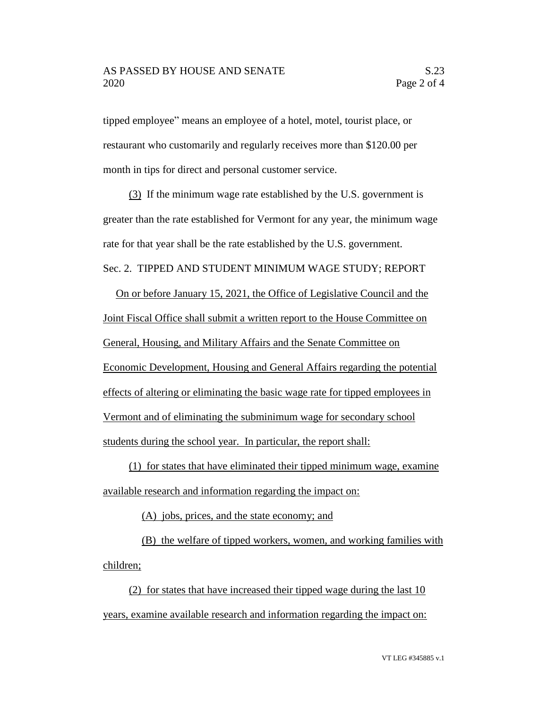tipped employee" means an employee of a hotel, motel, tourist place, or restaurant who customarily and regularly receives more than \$120.00 per month in tips for direct and personal customer service.

(3) If the minimum wage rate established by the U.S. government is greater than the rate established for Vermont for any year, the minimum wage rate for that year shall be the rate established by the U.S. government. Sec. 2. TIPPED AND STUDENT MINIMUM WAGE STUDY; REPORT

On or before January 15, 2021, the Office of Legislative Council and the Joint Fiscal Office shall submit a written report to the House Committee on General, Housing, and Military Affairs and the Senate Committee on Economic Development, Housing and General Affairs regarding the potential effects of altering or eliminating the basic wage rate for tipped employees in Vermont and of eliminating the subminimum wage for secondary school students during the school year. In particular, the report shall:

(1) for states that have eliminated their tipped minimum wage, examine available research and information regarding the impact on:

(A) jobs, prices, and the state economy; and

(B) the welfare of tipped workers, women, and working families with children;

(2) for states that have increased their tipped wage during the last 10 years, examine available research and information regarding the impact on: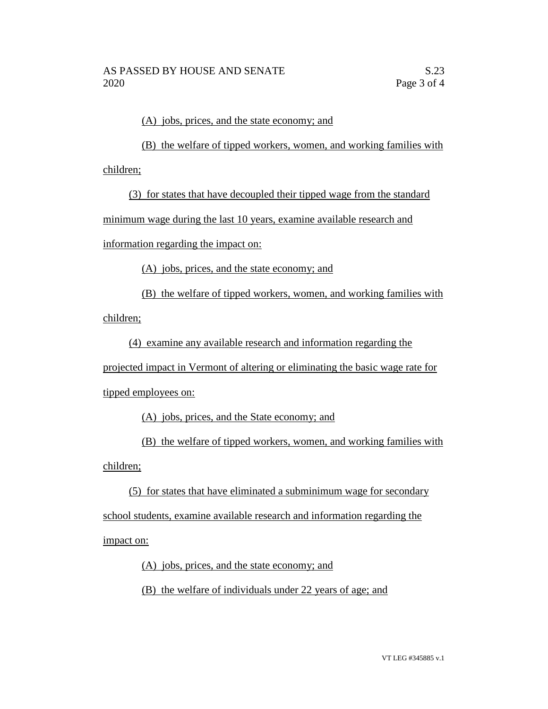(A) jobs, prices, and the state economy; and

(B) the welfare of tipped workers, women, and working families with children;

(3) for states that have decoupled their tipped wage from the standard minimum wage during the last 10 years, examine available research and

information regarding the impact on:

(A) jobs, prices, and the state economy; and

(B) the welfare of tipped workers, women, and working families with children;

(4) examine any available research and information regarding the

projected impact in Vermont of altering or eliminating the basic wage rate for tipped employees on:

(A) jobs, prices, and the State economy; and

(B) the welfare of tipped workers, women, and working families with children;

(5) for states that have eliminated a subminimum wage for secondary school students, examine available research and information regarding the impact on:

(A) jobs, prices, and the state economy; and

(B) the welfare of individuals under 22 years of age; and